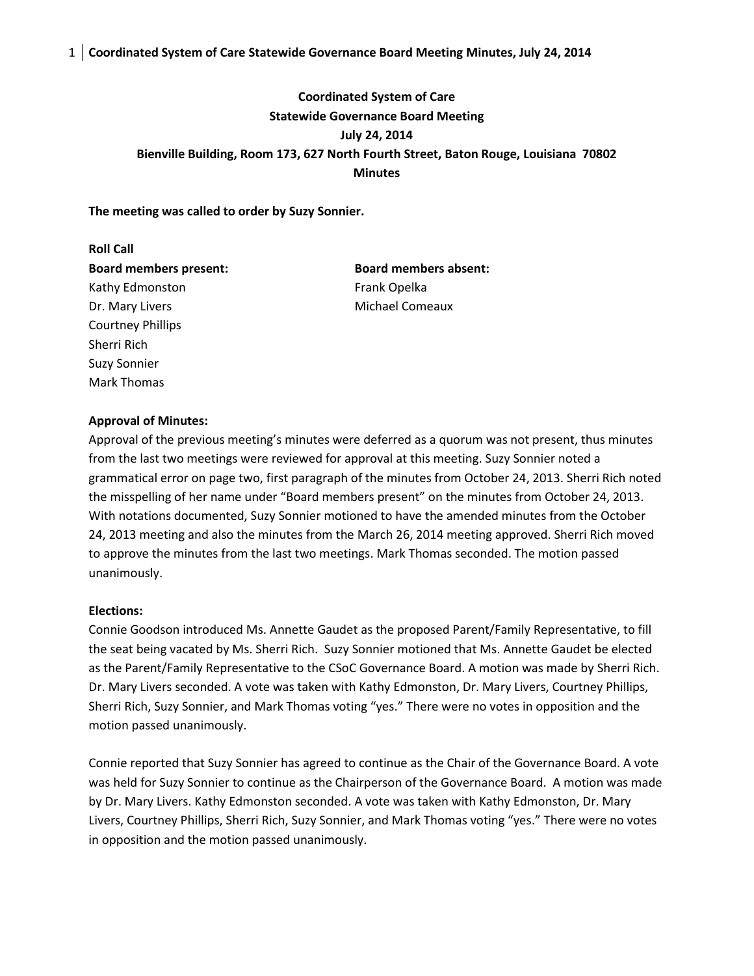## 1 **Coordinated System of Care Statewide Governance Board Meeting Minutes, July 24, 2014**

# **Coordinated System of Care Statewide Governance Board Meeting July 24, 2014 Bienville Building, Room 173, 627 North Fourth Street, Baton Rouge, Louisiana 70802 Minutes**

**The meeting was called to order by Suzy Sonnier.**

**Roll Call Board members present: Board members absent:** Kathy Edmonston Frank Opelka Dr. Mary Livers **Michael Comeaux** Courtney Phillips Sherri Rich Suzy Sonnier Mark Thomas

## **Approval of Minutes:**

Approval of the previous meeting's minutes were deferred as a quorum was not present, thus minutes from the last two meetings were reviewed for approval at this meeting. Suzy Sonnier noted a grammatical error on page two, first paragraph of the minutes from October 24, 2013. Sherri Rich noted the misspelling of her name under "Board members present" on the minutes from October 24, 2013. With notations documented, Suzy Sonnier motioned to have the amended minutes from the October 24, 2013 meeting and also the minutes from the March 26, 2014 meeting approved. Sherri Rich moved to approve the minutes from the last two meetings. Mark Thomas seconded. The motion passed unanimously.

## **Elections:**

Connie Goodson introduced Ms. Annette Gaudet as the proposed Parent/Family Representative, to fill the seat being vacated by Ms. Sherri Rich. Suzy Sonnier motioned that Ms. Annette Gaudet be elected as the Parent/Family Representative to the CSoC Governance Board. A motion was made by Sherri Rich. Dr. Mary Livers seconded. A vote was taken with Kathy Edmonston, Dr. Mary Livers, Courtney Phillips, Sherri Rich, Suzy Sonnier, and Mark Thomas voting "yes." There were no votes in opposition and the motion passed unanimously.

Connie reported that Suzy Sonnier has agreed to continue as the Chair of the Governance Board. A vote was held for Suzy Sonnier to continue as the Chairperson of the Governance Board. A motion was made by Dr. Mary Livers. Kathy Edmonston seconded. A vote was taken with Kathy Edmonston, Dr. Mary Livers, Courtney Phillips, Sherri Rich, Suzy Sonnier, and Mark Thomas voting "yes." There were no votes in opposition and the motion passed unanimously.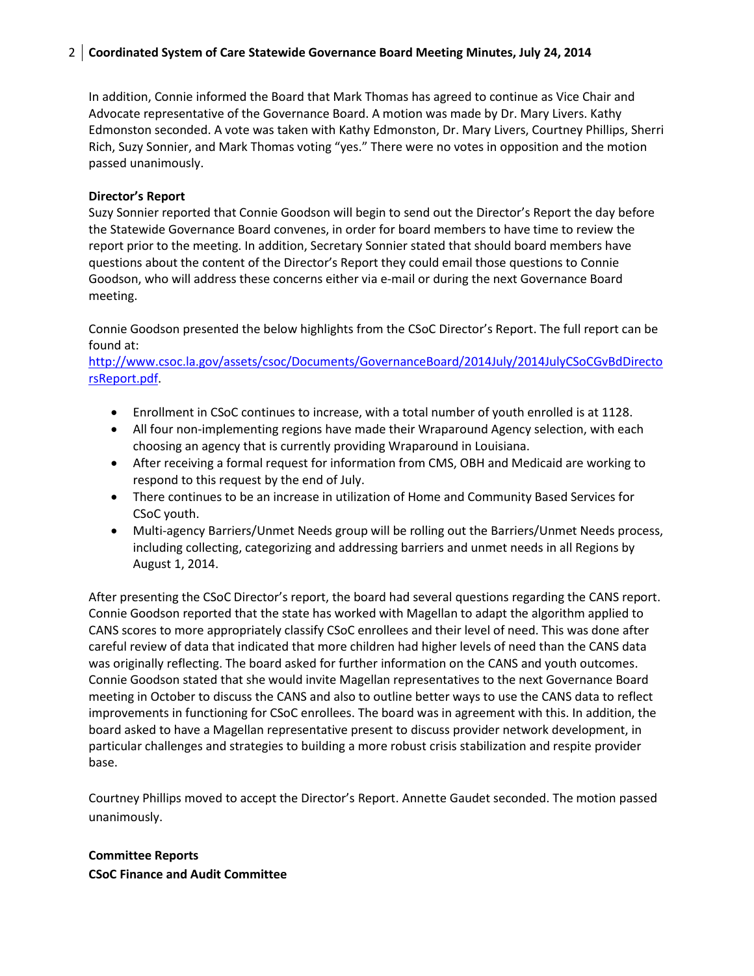## 2 **Coordinated System of Care Statewide Governance Board Meeting Minutes, July 24, 2014**

In addition, Connie informed the Board that Mark Thomas has agreed to continue as Vice Chair and Advocate representative of the Governance Board. A motion was made by Dr. Mary Livers. Kathy Edmonston seconded. A vote was taken with Kathy Edmonston, Dr. Mary Livers, Courtney Phillips, Sherri Rich, Suzy Sonnier, and Mark Thomas voting "yes." There were no votes in opposition and the motion passed unanimously.

## **Director's Report**

Suzy Sonnier reported that Connie Goodson will begin to send out the Director's Report the day before the Statewide Governance Board convenes, in order for board members to have time to review the report prior to the meeting. In addition, Secretary Sonnier stated that should board members have questions about the content of the Director's Report they could email those questions to Connie Goodson, who will address these concerns either via e-mail or during the next Governance Board meeting.

Connie Goodson presented the below highlights from the CSoC Director's Report. The full report can be found at:

[http://www.csoc.la.gov/assets/csoc/Documents/GovernanceBoard/2014July/2014JulyCSoCGvBdDirecto](http://www.csoc.la.gov/assets/csoc/Documents/GovernanceBoard/2014July/2014JulyCSoCGvBdDirectorsReport.pdf) [rsReport.pdf.](http://www.csoc.la.gov/assets/csoc/Documents/GovernanceBoard/2014July/2014JulyCSoCGvBdDirectorsReport.pdf)

- Enrollment in CSoC continues to increase, with a total number of youth enrolled is at 1128.
- All four non-implementing regions have made their Wraparound Agency selection, with each choosing an agency that is currently providing Wraparound in Louisiana.
- After receiving a formal request for information from CMS, OBH and Medicaid are working to respond to this request by the end of July.
- There continues to be an increase in utilization of Home and Community Based Services for CSoC youth.
- Multi-agency Barriers/Unmet Needs group will be rolling out the Barriers/Unmet Needs process, including collecting, categorizing and addressing barriers and unmet needs in all Regions by August 1, 2014.

After presenting the CSoC Director's report, the board had several questions regarding the CANS report. Connie Goodson reported that the state has worked with Magellan to adapt the algorithm applied to CANS scores to more appropriately classify CSoC enrollees and their level of need. This was done after careful review of data that indicated that more children had higher levels of need than the CANS data was originally reflecting. The board asked for further information on the CANS and youth outcomes. Connie Goodson stated that she would invite Magellan representatives to the next Governance Board meeting in October to discuss the CANS and also to outline better ways to use the CANS data to reflect improvements in functioning for CSoC enrollees. The board was in agreement with this. In addition, the board asked to have a Magellan representative present to discuss provider network development, in particular challenges and strategies to building a more robust crisis stabilization and respite provider base.

Courtney Phillips moved to accept the Director's Report. Annette Gaudet seconded. The motion passed unanimously.

## **Committee Reports CSoC Finance and Audit Committee**